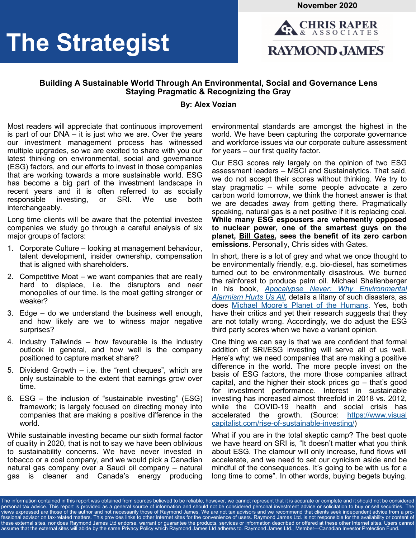**November 2020**

# **The Strategist**



#### **Building A Sustainable World Through An Environmental, Social and Governance Lens Staying Pragmatic & Recognizing the Gray**

#### **By: Alex Vozian**

Most readers will appreciate that continuous improvement is part of our DNA – it is just who we are. Over the years our investment management process has witnessed multiple upgrades, so we are excited to share with you our latest thinking on environmental, social and governance (ESG) factors, and our efforts to invest in those companies that are working towards a more sustainable world. ESG has become a big part of the investment landscape in recent years and it is often referred to as socially responsible investing, or SRI. We use both interchangeably.

Long time clients will be aware that the potential investee companies we study go through a careful analysis of six major groups of factors:

- 1. Corporate Culture looking at management behaviour, talent development, insider ownership, compensation that is aligned with shareholders.
- 2. Competitive Moat we want companies that are really hard to displace, i.e. the disruptors and near monopolies of our time. Is the moat getting stronger or weaker?
- 3. Edge do we understand the business well enough, and how likely are we to witness major negative surprises?
- 4. Industry Tailwinds how favourable is the industry outlook in general, and how well is the company positioned to capture market share?
- 5. Dividend Growth i.e. the "rent cheques", which are only sustainable to the extent that earnings grow over time.
- 6. ESG the inclusion of "sustainable investing" (ESG) framework; is largely focused on directing money into companies that are making a positive difference in the world.

While sustainable investing became our sixth formal factor of quality in 2020, that is not to say we have been oblivious to sustainability concerns. We have never invested in tobacco or a coal company, and we would pick a Canadian natural gas company over a Saudi oil company – natural gas is cleaner and Canada's energy producing environmental standards are amongst the highest in the world. We have been capturing the corporate governance and workforce issues via our corporate culture assessment for years – our first quality factor.

Our ESG scores rely largely on the opinion of two ESG assessment leaders – MSCI and Sustainalytics. That said, we do not accept their scores without thinking. We try to stay pragmatic – while some people advocate a zero carbon world tomorrow, we think the honest answer is that we are decades away from getting there. Pragmatically speaking, natural gas is a net positive if it is replacing coal. **While many ESG espousers are vehemently opposed to nuclear power, one of the smartest guys on the planet, [Bill Gates,](https://www.washingtonpost.com/national/health-science/bill-gates-comes-to-washington--selling-the-promise-of-nuclear-energy/2019/01/25/4bd9c030-1445-11e9-b6ad-9cfd62dbb0a8_story.html) sees the benefit of its zero carbon emissions**. Personally, Chris sides with Gates.

In short, there is a lot of grey and what we once thought to be environmentally friendly, e.g. bio-diesel, has sometimes turned out to be environmentally disastrous. We burned the rainforest to produce palm oil. Michael Shellenberger in his book, *[Apocalypse Never: Why Environmental](https://www.amazon.ca/Apocalypse-Never-Environmental-Alarmism-Hurts-ebook/dp/B07Y8FHFQ7)  [Alarmism Hurts Us All](https://www.amazon.ca/Apocalypse-Never-Environmental-Alarmism-Hurts-ebook/dp/B07Y8FHFQ7)*, details a litany of such disasters, as does [Michael Moore's Planet of the Humans.](https://www.youtube.com/watch?v=Zk11vI-7czE) Yes, both have their critics and yet their research suggests that they are not totally wrong. Accordingly, we do adjust the ESG third party scores when we have a variant opinion.

One thing we can say is that we are confident that formal addition of SRI/ESG investing will serve all of us well. Here's why: we need companies that are making a positive difference in the world. The more people invest on the basis of ESG factors, the more those companies attract capital, and the higher their stock prices go – that's good for investment performance. Interest in sustainable investing has increased almost threefold in 2018 vs. 2012, while the COVID-19 health and social crisis has accelerated the growth. (Source: [https://www.visual](https://www.visualcapitalist.com/rise-of-sustainable-investing/)  [capitalist.com/rise](https://www.visualcapitalist.com/rise-of-sustainable-investing/)-of-sustainable-investing/)

What if you are in the total skeptic camp? The best quote we have heard on SRI is, "It doesn't matter what you think about ESG. The clamour will only increase, fund flows will accelerate, and we need to set our cynicism aside and be mindful of the consequences. It's going to be with us for a long time to come". In other words, buying begets buying.

The information contained in this report was obtained from sources believed to be reliable, however, we cannot represent that it is accurate or complete and it should not be considered personal tax advice. This report is provided as a general source of information and should not be considered personal investment advice or solicitation to buy or sell securities. The views expressed are those of the author and not necessarily those of Raymond James. We are not tax advisors and we recommend that clients seek independent advice from a professional advisor on tax-related matters. This provides links to other Internet sites for the convenience of users. Raymond James Ltd. is not responsible for the availability or content of these external sites, nor does Raymond James Ltd endorse, warrant or guarantee the products, services or information described or offered at these other Internet sites. Users cannot assume that the external sites will abide by the same Privacy Policy which Raymond James Ltd adheres to. Raymond James Ltd., Member—Canadian Investor Protection Fund.